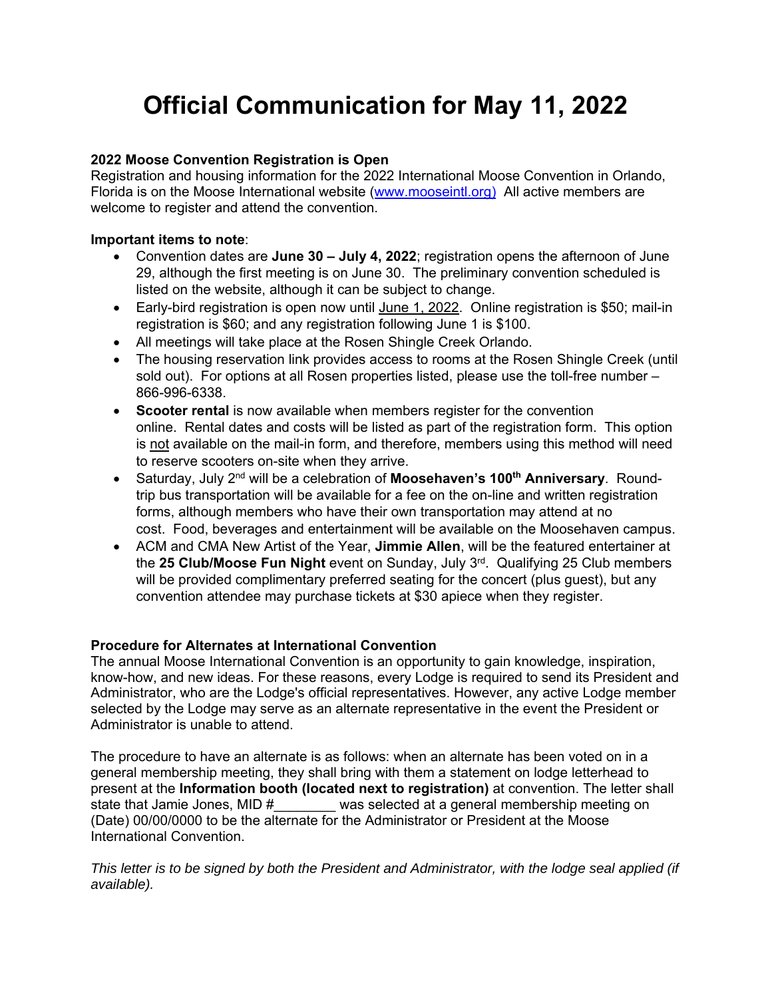# **Official Communication for May 11, 2022**

## **2022 Moose Convention Registration is Open**

Registration and housing information for the 2022 International Moose Convention in Orlando, Florida is on the Moose International website (www.mooseintl.org) All active members are welcome to register and attend the convention.

## **Important items to note**:

- Convention dates are **June 30 July 4, 2022**; registration opens the afternoon of June 29, although the first meeting is on June 30. The preliminary convention scheduled is listed on the website, although it can be subject to change.
- Early-bird registration is open now until June 1, 2022. Online registration is \$50; mail-in registration is \$60; and any registration following June 1 is \$100.
- All meetings will take place at the Rosen Shingle Creek Orlando.
- The housing reservation link provides access to rooms at the Rosen Shingle Creek (until sold out). For options at all Rosen properties listed, please use the toll-free number – 866-996-6338.
- **Scooter rental** is now available when members register for the convention online. Rental dates and costs will be listed as part of the registration form. This option is not available on the mail-in form, and therefore, members using this method will need to reserve scooters on-site when they arrive.
- Saturday, July 2nd will be a celebration of **Moosehaven's 100th Anniversary**. Roundtrip bus transportation will be available for a fee on the on-line and written registration forms, although members who have their own transportation may attend at no cost. Food, beverages and entertainment will be available on the Moosehaven campus.
- ACM and CMA New Artist of the Year, **Jimmie Allen**, will be the featured entertainer at the **25 Club/Moose Fun Night** event on Sunday, July 3rd. Qualifying 25 Club members will be provided complimentary preferred seating for the concert (plus guest), but any convention attendee may purchase tickets at \$30 apiece when they register.

## **Procedure for Alternates at International Convention**

The annual Moose International Convention is an opportunity to gain knowledge, inspiration, know-how, and new ideas. For these reasons, every Lodge is required to send its President and Administrator, who are the Lodge's official representatives. However, any active Lodge member selected by the Lodge may serve as an alternate representative in the event the President or Administrator is unable to attend.

The procedure to have an alternate is as follows: when an alternate has been voted on in a general membership meeting, they shall bring with them a statement on lodge letterhead to present at the **Information booth (located next to registration)** at convention. The letter shall was selected at a general membership meeting on (Date) 00/00/0000 to be the alternate for the Administrator or President at the Moose International Convention.

*This letter is to be signed by both the President and Administrator, with the lodge seal applied (if available).*